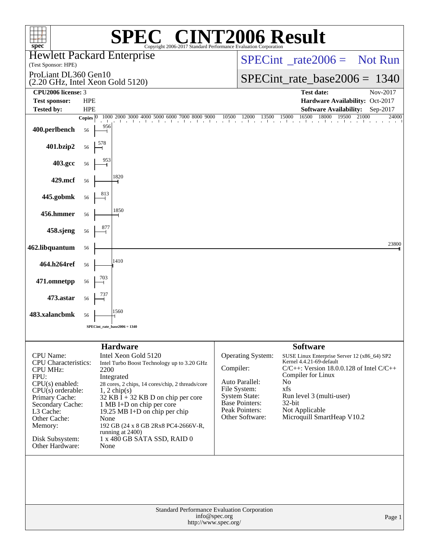| $spec^*$                                                                                                                                                                                                                                   | $\mathbb{C}^{\scriptscriptstyle \otimes}$ CINT2006 Result<br>Copyright 2006-2017 Standard Performance Evaluation Corporation                                                                                                                                                                                                                                                                       |                                                                                                                                                               |                                                                                                                                                                                                                                                                                   |
|--------------------------------------------------------------------------------------------------------------------------------------------------------------------------------------------------------------------------------------------|----------------------------------------------------------------------------------------------------------------------------------------------------------------------------------------------------------------------------------------------------------------------------------------------------------------------------------------------------------------------------------------------------|---------------------------------------------------------------------------------------------------------------------------------------------------------------|-----------------------------------------------------------------------------------------------------------------------------------------------------------------------------------------------------------------------------------------------------------------------------------|
| (Test Sponsor: HPE)                                                                                                                                                                                                                        | <b>Hewlett Packard Enterprise</b>                                                                                                                                                                                                                                                                                                                                                                  |                                                                                                                                                               | $SPECint^*_{\text{}} \text{rate2006} = \text{Not Run}$                                                                                                                                                                                                                            |
| ProLiant DL360 Gen10                                                                                                                                                                                                                       |                                                                                                                                                                                                                                                                                                                                                                                                    |                                                                                                                                                               | $SPECint_rate_base2006 = 1340$                                                                                                                                                                                                                                                    |
| CPU2006 license: 3                                                                                                                                                                                                                         | $(2.20 \text{ GHz}, \text{Intel Xeon Gold } 5120)$                                                                                                                                                                                                                                                                                                                                                 |                                                                                                                                                               | <b>Test date:</b><br>Nov-2017                                                                                                                                                                                                                                                     |
| <b>Test sponsor:</b><br>Tested by:                                                                                                                                                                                                         | <b>HPE</b><br><b>HPE</b>                                                                                                                                                                                                                                                                                                                                                                           |                                                                                                                                                               | Hardware Availability: Oct-2017<br><b>Software Availability:</b><br>Sep-2017                                                                                                                                                                                                      |
| 400.perlbench                                                                                                                                                                                                                              | $\begin{bmatrix} 1000 & 2000 & 3000 & 4000 & 5000 & 6000 & 7000 & 8000 & 9000 \\ \end{bmatrix}$<br>Copies $ 0\rangle$<br>956<br>56                                                                                                                                                                                                                                                                 | $10500$ $12000$ 1<br>13500                                                                                                                                    | 16500<br>15000<br>18000<br>21000<br>19500<br>24000                                                                                                                                                                                                                                |
| 401.bzip2                                                                                                                                                                                                                                  | 56                                                                                                                                                                                                                                                                                                                                                                                                 |                                                                                                                                                               |                                                                                                                                                                                                                                                                                   |
| 403.gcc                                                                                                                                                                                                                                    | 56                                                                                                                                                                                                                                                                                                                                                                                                 |                                                                                                                                                               |                                                                                                                                                                                                                                                                                   |
| 429.mcf                                                                                                                                                                                                                                    | 1820<br>56                                                                                                                                                                                                                                                                                                                                                                                         |                                                                                                                                                               |                                                                                                                                                                                                                                                                                   |
| 445.gobmk                                                                                                                                                                                                                                  | 56                                                                                                                                                                                                                                                                                                                                                                                                 |                                                                                                                                                               |                                                                                                                                                                                                                                                                                   |
| 456.hmmer                                                                                                                                                                                                                                  | 1850<br>56                                                                                                                                                                                                                                                                                                                                                                                         |                                                                                                                                                               |                                                                                                                                                                                                                                                                                   |
| 458.sjeng                                                                                                                                                                                                                                  | 56                                                                                                                                                                                                                                                                                                                                                                                                 |                                                                                                                                                               |                                                                                                                                                                                                                                                                                   |
| 462.libquantum                                                                                                                                                                                                                             | 56                                                                                                                                                                                                                                                                                                                                                                                                 |                                                                                                                                                               | 23800                                                                                                                                                                                                                                                                             |
| 464.h264ref                                                                                                                                                                                                                                | 1410<br>56                                                                                                                                                                                                                                                                                                                                                                                         |                                                                                                                                                               |                                                                                                                                                                                                                                                                                   |
| 471.omnetpp                                                                                                                                                                                                                                | 703<br>56                                                                                                                                                                                                                                                                                                                                                                                          |                                                                                                                                                               |                                                                                                                                                                                                                                                                                   |
| 473.astar                                                                                                                                                                                                                                  | 56                                                                                                                                                                                                                                                                                                                                                                                                 |                                                                                                                                                               |                                                                                                                                                                                                                                                                                   |
| 483.xalancbmk                                                                                                                                                                                                                              | 1560<br>56                                                                                                                                                                                                                                                                                                                                                                                         |                                                                                                                                                               |                                                                                                                                                                                                                                                                                   |
|                                                                                                                                                                                                                                            | $SPECint_rate_base2006 = 1340$                                                                                                                                                                                                                                                                                                                                                                     |                                                                                                                                                               |                                                                                                                                                                                                                                                                                   |
| <b>CPU</b> Name:<br><b>CPU</b> Characteristics:<br><b>CPU MHz:</b><br>FPU:<br>$CPU(s)$ enabled:<br>$CPU(s)$ orderable:<br>Primary Cache:<br>Secondary Cache:<br>L3 Cache:<br>Other Cache:<br>Memory:<br>Disk Subsystem:<br>Other Hardware: | <b>Hardware</b><br>Intel Xeon Gold 5120<br>Intel Turbo Boost Technology up to 3.20 GHz<br>2200<br>Integrated<br>28 cores, 2 chips, 14 cores/chip, 2 threads/core<br>$1, 2$ chip(s)<br>$32$ KB I + 32 KB D on chip per core<br>1 MB I+D on chip per core<br>19.25 MB I+D on chip per chip<br>None<br>192 GB (24 x 8 GB 2Rx8 PC4-2666V-R,<br>running at 2400)<br>1 x 480 GB SATA SSD, RAID 0<br>None | <b>Operating System:</b><br>Compiler:<br>Auto Parallel:<br>File System:<br><b>System State:</b><br><b>Base Pointers:</b><br>Peak Pointers:<br>Other Software: | <b>Software</b><br>SUSE Linux Enterprise Server 12 (x86_64) SP2<br>Kernel 4.4.21-69-default<br>$C/C++$ : Version 18.0.0.128 of Intel $C/C++$<br>Compiler for Linux<br>N <sub>o</sub><br>xfs<br>Run level 3 (multi-user)<br>32-bit<br>Not Applicable<br>Microquill SmartHeap V10.2 |
|                                                                                                                                                                                                                                            | Standard Performance Evaluation Corporation<br>info@spec.org<br>http://www.spec.org/                                                                                                                                                                                                                                                                                                               |                                                                                                                                                               | Page 1                                                                                                                                                                                                                                                                            |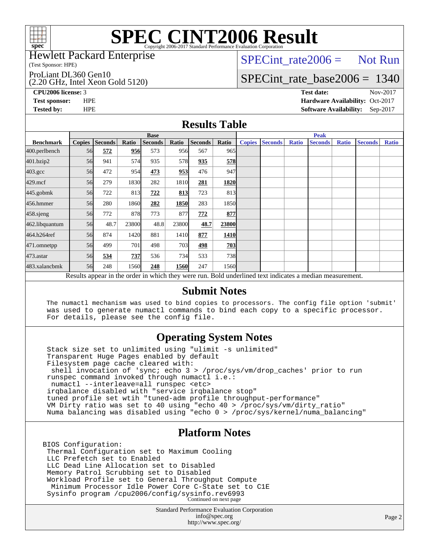

### Hewlett Packard Enterprise

(Test Sponsor: HPE)

ProLiant DL360 Gen10

(2.20 GHz, Intel Xeon Gold 5120)

 $SPECTnt_rate2006 = Not Run$ 

# [SPECint\\_rate\\_base2006 =](http://www.spec.org/auto/cpu2006/Docs/result-fields.html#SPECintratebase2006) 1340

**[CPU2006 license:](http://www.spec.org/auto/cpu2006/Docs/result-fields.html#CPU2006license)** 3 **[Test date:](http://www.spec.org/auto/cpu2006/Docs/result-fields.html#Testdate)** Nov-2017 **[Test sponsor:](http://www.spec.org/auto/cpu2006/Docs/result-fields.html#Testsponsor)** HPE **[Hardware Availability:](http://www.spec.org/auto/cpu2006/Docs/result-fields.html#HardwareAvailability)** Oct-2017 **[Tested by:](http://www.spec.org/auto/cpu2006/Docs/result-fields.html#Testedby)** HPE **[Software Availability:](http://www.spec.org/auto/cpu2006/Docs/result-fields.html#SoftwareAvailability)** Sep-2017

## **[Results Table](http://www.spec.org/auto/cpu2006/Docs/result-fields.html#ResultsTable)**

|                    | <b>Base</b>                                                                                              |                |       |                |             |                | <b>Peak</b> |               |                |              |                |              |                |              |
|--------------------|----------------------------------------------------------------------------------------------------------|----------------|-------|----------------|-------------|----------------|-------------|---------------|----------------|--------------|----------------|--------------|----------------|--------------|
| <b>Benchmark</b>   | <b>Copies</b>                                                                                            | <b>Seconds</b> | Ratio | <b>Seconds</b> | Ratio       | <b>Seconds</b> | Ratio       | <b>Copies</b> | <b>Seconds</b> | <b>Ratio</b> | <b>Seconds</b> | <b>Ratio</b> | <b>Seconds</b> | <b>Ratio</b> |
| 400.perlbench      | 56                                                                                                       | 572            | 956   | 573            | 956         | 567            | 965         |               |                |              |                |              |                |              |
| 401.bzip2          | 56                                                                                                       | 941            | 574   | 935            | 578         | 935            | 578         |               |                |              |                |              |                |              |
| $403.\mathrm{gcc}$ | 56                                                                                                       | 472            | 954   | 473            | 953         | 476            | 947         |               |                |              |                |              |                |              |
| $429$ .mcf         | 56                                                                                                       | 279            | 1830  | 282            | 1810        | 281            | 1820        |               |                |              |                |              |                |              |
| $445$ .gobm $k$    | 56                                                                                                       | 722            | 813   | 722            | 813         | 723            | 813         |               |                |              |                |              |                |              |
| 456.hmmer          | 56                                                                                                       | 280            | 1860  | 282            | <b>1850</b> | 283            | 1850l       |               |                |              |                |              |                |              |
| 458.sjeng          | 56                                                                                                       | 772            | 878   | 773            | 877         | 772            | 877         |               |                |              |                |              |                |              |
| 462.libquantum     | 56                                                                                                       | 48.7           | 23800 | 48.8           | 23800       | 48.7           | 23800       |               |                |              |                |              |                |              |
| 464.h264ref        | 56                                                                                                       | 874            | 1420  | 881            | 1410        | 877            | <b>1410</b> |               |                |              |                |              |                |              |
| 471.omnetpp        | 56                                                                                                       | 499            | 701   | 498            | 703         | 498            | 703         |               |                |              |                |              |                |              |
| $473$ . astar      | 56                                                                                                       | 534            | 737   | 536            | 734         | 533            | <b>738</b>  |               |                |              |                |              |                |              |
| 483.xalancbmk      | 56                                                                                                       | 248            | 1560  | 248            | 1560        | 247            | 1560        |               |                |              |                |              |                |              |
|                    | Results appear in the order in which they were run. Bold underlined text indicates a median measurement. |                |       |                |             |                |             |               |                |              |                |              |                |              |

### **[Submit Notes](http://www.spec.org/auto/cpu2006/Docs/result-fields.html#SubmitNotes)**

 The numactl mechanism was used to bind copies to processors. The config file option 'submit' was used to generate numactl commands to bind each copy to a specific processor. For details, please see the config file.

## **[Operating System Notes](http://www.spec.org/auto/cpu2006/Docs/result-fields.html#OperatingSystemNotes)**

 Stack size set to unlimited using "ulimit -s unlimited" Transparent Huge Pages enabled by default Filesystem page cache cleared with: shell invocation of 'sync; echo 3 > /proc/sys/vm/drop\_caches' prior to run runspec command invoked through numactl i.e.: numactl --interleave=all runspec <etc> irqbalance disabled with "service irqbalance stop" tuned profile set wtih "tuned-adm profile throughput-performance" VM Dirty ratio was set to 40 using "echo 40 > /proc/sys/vm/dirty\_ratio" Numa balancing was disabled using "echo 0 > /proc/sys/kernel/numa\_balancing"

## **[Platform Notes](http://www.spec.org/auto/cpu2006/Docs/result-fields.html#PlatformNotes)**

BIOS Configuration: Thermal Configuration set to Maximum Cooling LLC Prefetch set to Enabled LLC Dead Line Allocation set to Disabled Memory Patrol Scrubbing set to Disabled Workload Profile set to General Throughput Compute Minimum Processor Idle Power Core C-State set to C1E Sysinfo program /cpu2006/config/sysinfo.rev6993 Continued on next page

> Standard Performance Evaluation Corporation [info@spec.org](mailto:info@spec.org) <http://www.spec.org/>

Page 2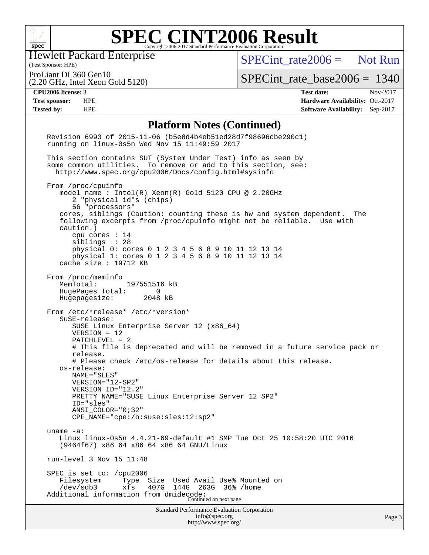

Hewlett Packard Enterprise

[SPECint\\_rate2006 =](http://www.spec.org/auto/cpu2006/Docs/result-fields.html#SPECintrate2006) Not Run

(Test Sponsor: HPE) ProLiant DL360 Gen10

(2.20 GHz, Intel Xeon Gold 5120)

[SPECint\\_rate\\_base2006 =](http://www.spec.org/auto/cpu2006/Docs/result-fields.html#SPECintratebase2006) 1340

**[CPU2006 license:](http://www.spec.org/auto/cpu2006/Docs/result-fields.html#CPU2006license)** 3 **[Test date:](http://www.spec.org/auto/cpu2006/Docs/result-fields.html#Testdate)** Nov-2017 **[Test sponsor:](http://www.spec.org/auto/cpu2006/Docs/result-fields.html#Testsponsor)** HPE **[Hardware Availability:](http://www.spec.org/auto/cpu2006/Docs/result-fields.html#HardwareAvailability)** Oct-2017 **[Tested by:](http://www.spec.org/auto/cpu2006/Docs/result-fields.html#Testedby)** HPE **[Software Availability:](http://www.spec.org/auto/cpu2006/Docs/result-fields.html#SoftwareAvailability)** Sep-2017

### **[Platform Notes \(Continued\)](http://www.spec.org/auto/cpu2006/Docs/result-fields.html#PlatformNotes)**

| <b>Standard Performance Evaluation Corporation</b><br>info@spec.org<br>http://www.spec.org/                                                                                                                                                                                                                                                                                                                                                                               | Page 3 |
|---------------------------------------------------------------------------------------------------------------------------------------------------------------------------------------------------------------------------------------------------------------------------------------------------------------------------------------------------------------------------------------------------------------------------------------------------------------------------|--------|
| SPEC is set to: /cpu2006<br>Size Used Avail Use% Mounted on<br>Filesystem<br>Type<br>/dev/sdb3<br>xfs<br>407G<br>144G<br>263G 36% / home<br>Additional information from dmidecode:<br>Continued on next page                                                                                                                                                                                                                                                              |        |
| run-level 3 Nov 15 11:48                                                                                                                                                                                                                                                                                                                                                                                                                                                  |        |
| uname $-a$ :<br>Linux linux-0s5n 4.4.21-69-default #1 SMP Tue Oct 25 10:58:20 UTC 2016<br>$(9464f67)$ x86_64 x86_64 x86_64 GNU/Linux                                                                                                                                                                                                                                                                                                                                      |        |
| # Please check /etc/os-release for details about this release.<br>os-release:<br>NAME="SLES"<br>VERSION="12-SP2"<br>VERSION_ID="12.2"<br>PRETTY_NAME="SUSE Linux Enterprise Server 12 SP2"<br>ID="sles"<br>$ANSI$ _COLOR=" $0:32$ "<br>$CPE\_NAME = "cpe://o:suse: sles:12:sp2"$                                                                                                                                                                                          |        |
| From /etc/*release* /etc/*version*<br>SuSE-release:<br>SUSE Linux Enterprise Server 12 (x86_64)<br>$VERSION = 12$<br>PATCHLEVEL = 2<br># This file is deprecated and will be removed in a future service pack or<br>release.                                                                                                                                                                                                                                              |        |
| From /proc/meminfo<br>MemTotal:<br>197551516 kB<br>HugePages_Total:<br>0<br>Hugepagesize: 2048 kB                                                                                                                                                                                                                                                                                                                                                                         |        |
| From /proc/cpuinfo<br>model name : Intel(R) Xeon(R) Gold 5120 CPU @ 2.20GHz<br>2 "physical id"s (chips)<br>56 "processors"<br>cores, siblings (Caution: counting these is hw and system dependent.<br>The<br>following excerpts from /proc/cpuinfo might not be reliable. Use with<br>caution.)<br>cpu cores $: 14$<br>siblings : 28<br>physical 0: cores 0 1 2 3 4 5 6 8 9 10 11 12 13 14<br>physical 1: cores 0 1 2 3 4 5 6 8 9 10 11 12 13 14<br>cache size : 19712 KB |        |
| This section contains SUT (System Under Test) info as seen by<br>some common utilities. To remove or add to this section, see:<br>http://www.spec.org/cpu2006/Docs/config.html#sysinfo                                                                                                                                                                                                                                                                                    |        |
| Revision 6993 of 2015-11-06 (b5e8d4b4eb51ed28d7f98696cbe290c1)<br>running on linux-0s5n Wed Nov 15 11:49:59 2017                                                                                                                                                                                                                                                                                                                                                          |        |
|                                                                                                                                                                                                                                                                                                                                                                                                                                                                           |        |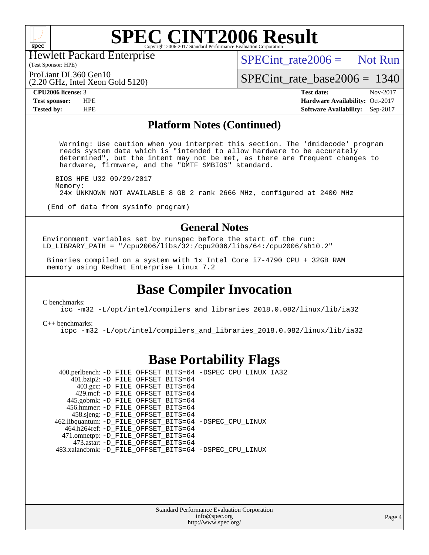

Hewlett Packard Enterprise

 $SPECint rate2006 =$  Not Run

(Test Sponsor: HPE) ProLiant DL360 Gen10

(2.20 GHz, Intel Xeon Gold 5120)

[SPECint\\_rate\\_base2006 =](http://www.spec.org/auto/cpu2006/Docs/result-fields.html#SPECintratebase2006) 1340

**[CPU2006 license:](http://www.spec.org/auto/cpu2006/Docs/result-fields.html#CPU2006license)** 3 **[Test date:](http://www.spec.org/auto/cpu2006/Docs/result-fields.html#Testdate)** Nov-2017 **[Test sponsor:](http://www.spec.org/auto/cpu2006/Docs/result-fields.html#Testsponsor)** HPE **[Hardware Availability:](http://www.spec.org/auto/cpu2006/Docs/result-fields.html#HardwareAvailability)** Oct-2017 **[Tested by:](http://www.spec.org/auto/cpu2006/Docs/result-fields.html#Testedby)** HPE **[Software Availability:](http://www.spec.org/auto/cpu2006/Docs/result-fields.html#SoftwareAvailability)** Sep-2017

### **[Platform Notes \(Continued\)](http://www.spec.org/auto/cpu2006/Docs/result-fields.html#PlatformNotes)**

 Warning: Use caution when you interpret this section. The 'dmidecode' program reads system data which is "intended to allow hardware to be accurately determined", but the intent may not be met, as there are frequent changes to hardware, firmware, and the "DMTF SMBIOS" standard.

 BIOS HPE U32 09/29/2017 Memory: 24x UNKNOWN NOT AVAILABLE 8 GB 2 rank 2666 MHz, configured at 2400 MHz

(End of data from sysinfo program)

## **[General Notes](http://www.spec.org/auto/cpu2006/Docs/result-fields.html#GeneralNotes)**

Environment variables set by runspec before the start of the run: LD\_LIBRARY\_PATH = "/cpu2006/libs/32:/cpu2006/libs/64:/cpu2006/sh10.2"

 Binaries compiled on a system with 1x Intel Core i7-4790 CPU + 32GB RAM memory using Redhat Enterprise Linux 7.2

# **[Base Compiler Invocation](http://www.spec.org/auto/cpu2006/Docs/result-fields.html#BaseCompilerInvocation)**

[C benchmarks](http://www.spec.org/auto/cpu2006/Docs/result-fields.html#Cbenchmarks):

[icc -m32 -L/opt/intel/compilers\\_and\\_libraries\\_2018.0.082/linux/lib/ia32](http://www.spec.org/cpu2006/results/res2017q4/cpu2006-20171128-50886.flags.html#user_CCbase_intel_icc_355c401af4d5dc87e09103a6bbcae1c6)

[C++ benchmarks:](http://www.spec.org/auto/cpu2006/Docs/result-fields.html#CXXbenchmarks) [icpc -m32 -L/opt/intel/compilers\\_and\\_libraries\\_2018.0.082/linux/lib/ia32](http://www.spec.org/cpu2006/results/res2017q4/cpu2006-20171128-50886.flags.html#user_CXXbase_intel_icpc_b34a6f497613b30bc6bf10051974f22f)

## **[Base Portability Flags](http://www.spec.org/auto/cpu2006/Docs/result-fields.html#BasePortabilityFlags)**

 400.perlbench: [-D\\_FILE\\_OFFSET\\_BITS=64](http://www.spec.org/cpu2006/results/res2017q4/cpu2006-20171128-50886.flags.html#user_basePORTABILITY400_perlbench_file_offset_bits_64_438cf9856305ebd76870a2c6dc2689ab) [-DSPEC\\_CPU\\_LINUX\\_IA32](http://www.spec.org/cpu2006/results/res2017q4/cpu2006-20171128-50886.flags.html#b400.perlbench_baseCPORTABILITY_DSPEC_CPU_LINUX_IA32)  $401.bzip2$ : [-D\\_FILE\\_OFFSET\\_BITS=64](http://www.spec.org/cpu2006/results/res2017q4/cpu2006-20171128-50886.flags.html#user_basePORTABILITY401_bzip2_file_offset_bits_64_438cf9856305ebd76870a2c6dc2689ab) 403.gcc: [-D\\_FILE\\_OFFSET\\_BITS=64](http://www.spec.org/cpu2006/results/res2017q4/cpu2006-20171128-50886.flags.html#user_basePORTABILITY403_gcc_file_offset_bits_64_438cf9856305ebd76870a2c6dc2689ab) 429.mcf: [-D\\_FILE\\_OFFSET\\_BITS=64](http://www.spec.org/cpu2006/results/res2017q4/cpu2006-20171128-50886.flags.html#user_basePORTABILITY429_mcf_file_offset_bits_64_438cf9856305ebd76870a2c6dc2689ab) 445.gobmk: [-D\\_FILE\\_OFFSET\\_BITS=64](http://www.spec.org/cpu2006/results/res2017q4/cpu2006-20171128-50886.flags.html#user_basePORTABILITY445_gobmk_file_offset_bits_64_438cf9856305ebd76870a2c6dc2689ab) 456.hmmer: [-D\\_FILE\\_OFFSET\\_BITS=64](http://www.spec.org/cpu2006/results/res2017q4/cpu2006-20171128-50886.flags.html#user_basePORTABILITY456_hmmer_file_offset_bits_64_438cf9856305ebd76870a2c6dc2689ab) 458.sjeng: [-D\\_FILE\\_OFFSET\\_BITS=64](http://www.spec.org/cpu2006/results/res2017q4/cpu2006-20171128-50886.flags.html#user_basePORTABILITY458_sjeng_file_offset_bits_64_438cf9856305ebd76870a2c6dc2689ab) 462.libquantum: [-D\\_FILE\\_OFFSET\\_BITS=64](http://www.spec.org/cpu2006/results/res2017q4/cpu2006-20171128-50886.flags.html#user_basePORTABILITY462_libquantum_file_offset_bits_64_438cf9856305ebd76870a2c6dc2689ab) [-DSPEC\\_CPU\\_LINUX](http://www.spec.org/cpu2006/results/res2017q4/cpu2006-20171128-50886.flags.html#b462.libquantum_baseCPORTABILITY_DSPEC_CPU_LINUX) 464.h264ref: [-D\\_FILE\\_OFFSET\\_BITS=64](http://www.spec.org/cpu2006/results/res2017q4/cpu2006-20171128-50886.flags.html#user_basePORTABILITY464_h264ref_file_offset_bits_64_438cf9856305ebd76870a2c6dc2689ab) 471.omnetpp: [-D\\_FILE\\_OFFSET\\_BITS=64](http://www.spec.org/cpu2006/results/res2017q4/cpu2006-20171128-50886.flags.html#user_basePORTABILITY471_omnetpp_file_offset_bits_64_438cf9856305ebd76870a2c6dc2689ab) 473.astar: [-D\\_FILE\\_OFFSET\\_BITS=64](http://www.spec.org/cpu2006/results/res2017q4/cpu2006-20171128-50886.flags.html#user_basePORTABILITY473_astar_file_offset_bits_64_438cf9856305ebd76870a2c6dc2689ab) 483.xalancbmk: [-D\\_FILE\\_OFFSET\\_BITS=64](http://www.spec.org/cpu2006/results/res2017q4/cpu2006-20171128-50886.flags.html#user_basePORTABILITY483_xalancbmk_file_offset_bits_64_438cf9856305ebd76870a2c6dc2689ab) [-DSPEC\\_CPU\\_LINUX](http://www.spec.org/cpu2006/results/res2017q4/cpu2006-20171128-50886.flags.html#b483.xalancbmk_baseCXXPORTABILITY_DSPEC_CPU_LINUX)

> Standard Performance Evaluation Corporation [info@spec.org](mailto:info@spec.org) <http://www.spec.org/>